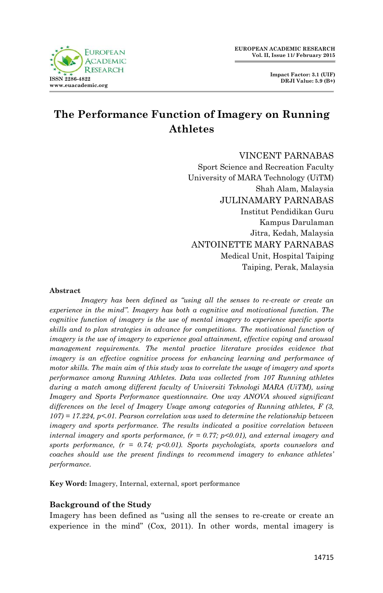# **The Performance Function of Imagery on Running Athletes**

## VINCENT PARNABAS

Sport Science and Recreation Faculty University of MARA Technology (UiTM) Shah Alam, Malaysia JULINAMARY PARNABAS Institut Pendidikan Guru Kampus Darulaman Jitra, Kedah, Malaysia ANTOINETTE MARY PARNABAS Medical Unit, Hospital Taiping Taiping, Perak, Malaysia

#### **Abstract**

*Imagery has been defined as "using all the senses to re-create or create an experience in the mind". Imagery has both a cognitive and motivational function. The cognitive function of imagery is the use of mental imagery to experience specific sports skills and to plan strategies in advance for competitions. The motivational function of imagery is the use of imagery to experience goal attainment, effective coping and arousal management requirements. The mental practice literature provides evidence that imagery is an effective cognitive process for enhancing learning and performance of motor skills. The main aim of this study was to correlate the usage of imagery and sports performance among Running Athletes. Data was collected from 107 Running athletes during a match among different faculty of Universiti Teknologi MARA (UiTM), using Imagery and Sports Performance questionnaire. One way ANOVA showed significant differences on the level of Imagery Usage among categories of Running athletes, F (3, 107) = 17.224, p<.01. Pearson correlation was used to determine the relationship between imagery and sports performance. The results indicated a positive correlation between internal imagery and sports performance, (r = 0.77; p<0.01), and external imagery and sports performance, (r = 0.74; p<0.01). Sports psychologists, sports counselors and coaches should use the present findings to recommend imagery to enhance athletes' performance.* 

**Key Word:** Imagery, Internal, external, sport performance

# **Background of the Study**

Imagery has been defined as "using all the senses to re-create or create an experience in the mind" (Cox, 2011). In other words, mental imagery is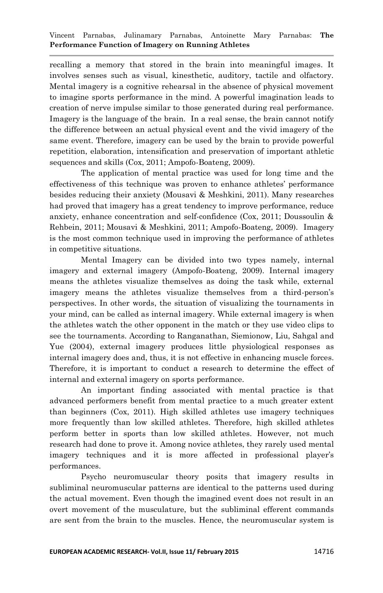recalling a memory that stored in the brain into meaningful images. It involves senses such as visual, kinesthetic, auditory, tactile and olfactory. Mental imagery is a cognitive rehearsal in the absence of physical movement to imagine sports performance in the mind. A powerful imagination leads to creation of nerve impulse similar to those generated during real performance. Imagery is the language of the brain. In a real sense, the brain cannot notify the difference between an actual physical event and the vivid imagery of the same event. Therefore, imagery can be used by the brain to provide powerful repetition, elaboration, intensification and preservation of important athletic sequences and skills (Cox, 2011; Ampofo-Boateng, 2009).

The application of mental practice was used for long time and the effectiveness of this technique was proven to enhance athletes' performance besides reducing their anxiety (Mousavi & Meshkini, 2011). Many researches had proved that imagery has a great tendency to improve performance, reduce anxiety, enhance concentration and self-confidence (Cox, 2011; Doussoulin & Rehbein, 2011; Mousavi & Meshkini, 2011; Ampofo-Boateng, 2009). Imagery is the most common technique used in improving the performance of athletes in competitive situations.

Mental Imagery can be divided into two types namely, internal imagery and external imagery (Ampofo-Boateng, 2009). Internal imagery means the athletes visualize themselves as doing the task while, external imagery means the athletes visualize themselves from a third-person's perspectives. In other words, the situation of visualizing the tournaments in your mind, can be called as internal imagery. While external imagery is when the athletes watch the other opponent in the match or they use video clips to see the tournaments. According to Ranganathan, Siemionow, Liu, Sahgal and Yue (2004), external imagery produces little physiological responses as internal imagery does and, thus, it is not effective in enhancing muscle forces. Therefore, it is important to conduct a research to determine the effect of internal and external imagery on sports performance.

An important finding associated with mental practice is that advanced performers benefit from mental practice to a much greater extent than beginners (Cox, 2011). High skilled athletes use imagery techniques more frequently than low skilled athletes. Therefore, high skilled athletes perform better in sports than low skilled athletes. However, not much research had done to prove it. Among novice athletes, they rarely used mental imagery techniques and it is more affected in professional player's performances.

Psycho neuromuscular theory posits that imagery results in subliminal neuromuscular patterns are identical to the patterns used during the actual movement. Even though the imagined event does not result in an overt movement of the musculature, but the subliminal efferent commands are sent from the brain to the muscles. Hence, the neuromuscular system is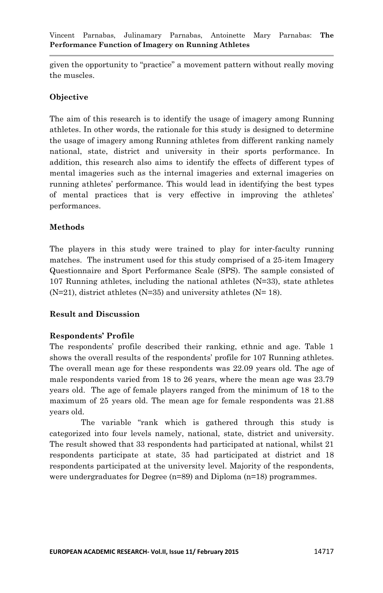given the opportunity to "practice" a movement pattern without really moving the muscles.

## **Objective**

The aim of this research is to identify the usage of imagery among Running athletes. In other words, the rationale for this study is designed to determine the usage of imagery among Running athletes from different ranking namely national, state, district and university in their sports performance. In addition, this research also aims to identify the effects of different types of mental imageries such as the internal imageries and external imageries on running athletes' performance. This would lead in identifying the best types of mental practices that is very effective in improving the athletes' performances.

# **Methods**

The players in this study were trained to play for inter-faculty running matches. The instrument used for this study comprised of a 25-item Imagery Questionnaire and Sport Performance Scale (SPS). The sample consisted of 107 Running athletes, including the national athletes  $(N=33)$ , state athletes  $(N=21)$ , district athletes  $(N=35)$  and university athletes  $(N=18)$ .

## **Result and Discussion**

## **Respondents' Profile**

The respondents' profile described their ranking, ethnic and age. Table 1 shows the overall results of the respondents' profile for 107 Running athletes. The overall mean age for these respondents was 22.09 years old. The age of male respondents varied from 18 to 26 years, where the mean age was 23.79 years old. The age of female players ranged from the minimum of 18 to the maximum of 25 years old. The mean age for female respondents was 21.88 years old.

The variable "rank which is gathered through this study is categorized into four levels namely, national, state, district and university. The result showed that 33 respondents had participated at national, whilst 21 respondents participate at state, 35 had participated at district and 18 respondents participated at the university level. Majority of the respondents, were undergraduates for Degree (n=89) and Diploma (n=18) programmes.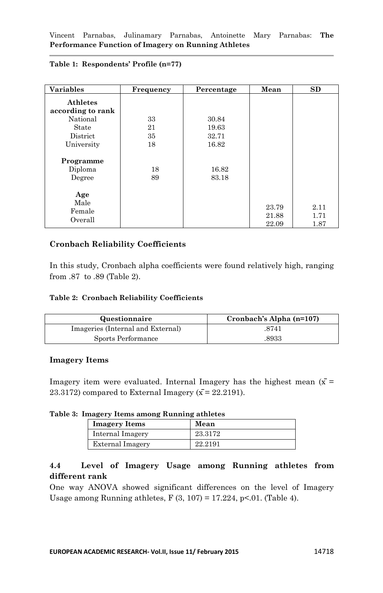| <b>Variables</b>                                                                           | Frequency            | Percentage                       | Mean                    | SD                   |
|--------------------------------------------------------------------------------------------|----------------------|----------------------------------|-------------------------|----------------------|
| <b>Athletes</b><br>according to rank<br>National<br>State<br><b>District</b><br>University | 33<br>21<br>35<br>18 | 30.84<br>19.63<br>32.71<br>16.82 |                         |                      |
| Programme<br>Diploma<br>Degree                                                             | 18<br>89             | 16.82<br>83.18                   |                         |                      |
| Age<br>Male<br>Female<br>Overall                                                           |                      |                                  | 23.79<br>21.88<br>22.09 | 2.11<br>1.71<br>1.87 |

## **Table 1: Respondents' Profile (n=77)**

## **Cronbach Reliability Coefficients**

In this study, Cronbach alpha coefficients were found relatively high, ranging from .87 to .89 (Table 2).

#### **Table 2: Cronbach Reliability Coefficients**

| Questionnaire                     | Cronbach's Alpha (n=107) |
|-----------------------------------|--------------------------|
| Imageries (Internal and External) | .8741                    |
| Sports Performance                | .8933                    |

## **Imagery Items**

Imagery item were evaluated. Internal Imagery has the highest mean  $(\bar{x}$  = 23.3172) compared to External Imagery  $(\bar{x} = 22.2191)$ .

#### **Table 3: Imagery Items among Running athletes**

| <b>Imagery Items</b> | Mean    |
|----------------------|---------|
| Internal Imagery     | 23.3172 |
| External Imagery     | 22.2191 |

# **4.4 Level of Imagery Usage among Running athletes from different rank**

One way ANOVA showed significant differences on the level of Imagery Usage among Running athletes,  $F(3, 107) = 17.224$ ,  $p<.01$ . (Table 4).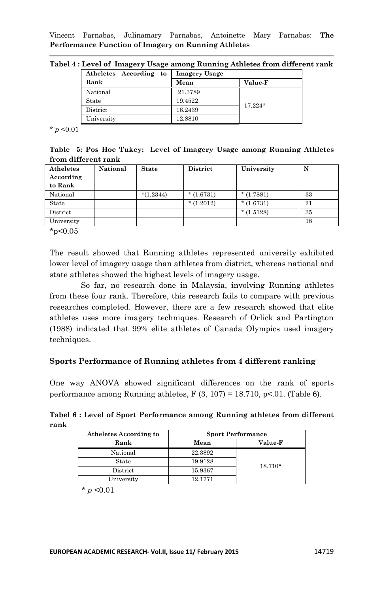Vincent Parnabas, Julinamary Parnabas, Antoinette Mary Parnabas: **The Performance Function of Imagery on Running Athletes**

| Tabel 4 : Level of Imagery Usage among Running Athletes from different rank |  |  |  |  |  |  |  |
|-----------------------------------------------------------------------------|--|--|--|--|--|--|--|
|-----------------------------------------------------------------------------|--|--|--|--|--|--|--|

| Atheletes According to | <b>Imagery Usage</b> |                |
|------------------------|----------------------|----------------|
| Rank                   | Mean                 | <b>Value-F</b> |
| National               | 21.3789              |                |
| State                  | 19.4522              | $17.224*$      |
| District               | 16.2439              |                |
| University             | 12.8810              |                |

 $*$  *p* <0.01

**Table 5: Pos Hoc Tukey: Level of Imagery Usage among Running Athletes from different rank**

| National | <b>State</b> | <b>District</b> | University  | N  |
|----------|--------------|-----------------|-------------|----|
|          |              |                 |             |    |
|          |              |                 |             |    |
|          | $*(1.2344)$  | $*(1.6731)$     | $*(1.7881)$ | 33 |
|          |              | $*(1.2012)$     | $*(1.6731)$ | 21 |
|          |              |                 | $*(1.5128)$ | 35 |
|          |              |                 |             | 18 |
|          |              |                 |             |    |

 $*_{p<0.05}$ 

The result showed that Running athletes represented university exhibited lower level of imagery usage than athletes from district, whereas national and state athletes showed the highest levels of imagery usage.

So far, no research done in Malaysia, involving Running athletes from these four rank. Therefore, this research fails to compare with previous researches completed. However, there are a few research showed that elite athletes uses more imagery techniques. Research of Orlick and Partington (1988) indicated that 99% elite athletes of Canada Olympics used imagery techniques.

## **Sports Performance of Running athletes from 4 different ranking**

One way ANOVA showed significant differences on the rank of sports performance among Running athletes,  $F(3, 107) = 18.710$ , p<.01. (Table 6).

**Tabel 6 : Level of Sport Performance among Running athletes from different rank**

| Atheletes According to | <b>Sport Performance</b> |                |  |
|------------------------|--------------------------|----------------|--|
| Rank                   | Mean                     | <b>Value-F</b> |  |
| National               | 22.3892                  |                |  |
| State                  | 19.9128                  | $18.710*$      |  |
| District               | 15.9367                  |                |  |
| University             | 12.1771                  |                |  |

 $*$  *p* <0.01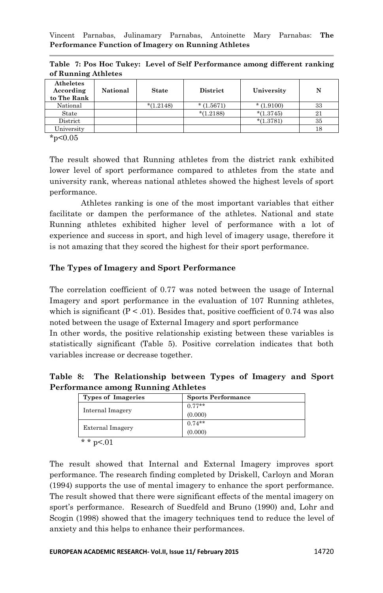| Atheletes<br>According<br>to The Rank | National | <b>State</b> | <b>District</b> | University  | N  |
|---------------------------------------|----------|--------------|-----------------|-------------|----|
| National                              |          | $*(1.2148)$  | $*(1.5671)$     | $*(1.9100)$ | 33 |
| State                                 |          |              | $*(1.2188)$     | $*(1.3745)$ | 21 |
| District                              |          |              |                 | $*(1.3781)$ | 35 |
| University                            |          |              |                 |             | 18 |

**Table 7: Pos Hoc Tukey: Level of Self Performance among different ranking of Running Athletes**

 $*_{p<0.05}$ 

The result showed that Running athletes from the district rank exhibited lower level of sport performance compared to athletes from the state and university rank, whereas national athletes showed the highest levels of sport performance.

Athletes ranking is one of the most important variables that either facilitate or dampen the performance of the athletes. National and state Running athletes exhibited higher level of performance with a lot of experience and success in sport, and high level of imagery usage, therefore it is not amazing that they scored the highest for their sport performance.

# **The Types of Imagery and Sport Performance**

The correlation coefficient of 0.77 was noted between the usage of Internal Imagery and sport performance in the evaluation of 107 Running athletes, which is significant  $(P < .01)$ . Besides that, positive coefficient of 0.74 was also noted between the usage of External Imagery and sport performance In other words, the positive relationship existing between these variables is statistically significant (Table 5). Positive correlation indicates that both variables increase or decrease together.

**Table 8: The Relationship between Types of Imagery and Sport Performance among Running Athletes**

| <b>Types of Imageries</b> | <b>Sports Performance</b> |
|---------------------------|---------------------------|
|                           | $0.77**$                  |
| Internal Imagery          | (0.000)                   |
|                           | $0.74**$                  |
| <b>External Imagery</b>   | (0.000)                   |
| * * $p < 01$              |                           |

The result showed that Internal and External Imagery improves sport performance. The research finding completed by Driskell, Carloyn and Moran (1994) supports the use of mental imagery to enhance the sport performance. The result showed that there were significant effects of the mental imagery on sport's performance. Research of Suedfeld and Bruno (1990) and, Lohr and Scogin (1998) showed that the imagery techniques tend to reduce the level of anxiety and this helps to enhance their performances.